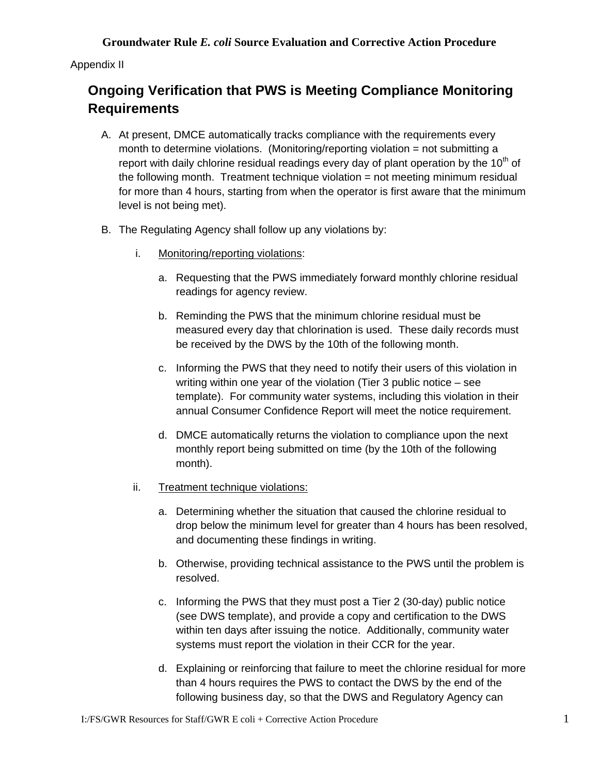Appendix II

## **Ongoing Verification that PWS is Meeting Compliance Monitoring Requirements**

- A. At present, DMCE automatically tracks compliance with the requirements every month to determine violations. (Monitoring/reporting violation = not submitting a report with daily chlorine residual readings every day of plant operation by the  $10<sup>th</sup>$  of the following month. Treatment technique violation = not meeting minimum residual for more than 4 hours, starting from when the operator is first aware that the minimum level is not being met).
- B. The Regulating Agency shall follow up any violations by:
	- i. Monitoring/reporting violations:
		- a. Requesting that the PWS immediately forward monthly chlorine residual readings for agency review.
		- b. Reminding the PWS that the minimum chlorine residual must be measured every day that chlorination is used. These daily records must be received by the DWS by the 10th of the following month.
		- c. Informing the PWS that they need to notify their users of this violation in writing within one year of the violation (Tier 3 public notice – see template). For community water systems, including this violation in their annual Consumer Confidence Report will meet the notice requirement.
		- d. DMCE automatically returns the violation to compliance upon the next monthly report being submitted on time (by the 10th of the following month).
	- ii. Treatment technique violations:
		- a. Determining whether the situation that caused the chlorine residual to drop below the minimum level for greater than 4 hours has been resolved, and documenting these findings in writing.
		- b. Otherwise, providing technical assistance to the PWS until the problem is resolved.
		- c. Informing the PWS that they must post a Tier 2 (30-day) public notice (see DWS template), and provide a copy and certification to the DWS within ten days after issuing the notice. Additionally, community water systems must report the violation in their CCR for the year.
		- d. Explaining or reinforcing that failure to meet the chlorine residual for more than 4 hours requires the PWS to contact the DWS by the end of the following business day, so that the DWS and Regulatory Agency can